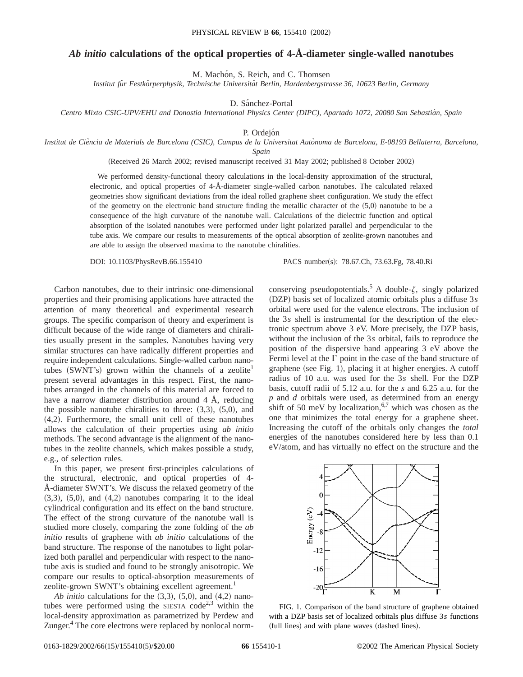## *Ab initio* **calculations of the optical properties of 4-Å-diameter single-walled nanotubes**

M. Machón, S. Reich, and C. Thomsen

*Institut fu¨r Festko¨rperphysik, Technische Universita¨t Berlin, Hardenbergstrasse 36, 10623 Berlin, Germany*

D. Sánchez-Portal

*Centro Mixto CSIC-UPV/EHU and Donostia International Physics Center (DIPC), Apartado 1072, 20080 San Sebastia´n, Spain*

P. Ordejón

*Institut de Cie`ncia de Materials de Barcelona (CSIC), Campus de la Universitat Auto`noma de Barcelona, E-08193 Bellaterra, Barcelona, Spain*

(Received 26 March 2002; revised manuscript received 31 May 2002; published 8 October 2002)

We performed density-functional theory calculations in the local-density approximation of the structural, electronic, and optical properties of 4-Å-diameter single-walled carbon nanotubes. The calculated relaxed geometries show significant deviations from the ideal rolled graphene sheet configuration. We study the effect of the geometry on the electronic band structure finding the metallic character of the  $(5,0)$  nanotube to be a consequence of the high curvature of the nanotube wall. Calculations of the dielectric function and optical absorption of the isolated nanotubes were performed under light polarized parallel and perpendicular to the tube axis. We compare our results to measurements of the optical absorption of zeolite-grown nanotubes and are able to assign the observed maxima to the nanotube chiralities.

DOI: 10.1103/PhysRevB.66.155410 PACS number(s): 78.67.Ch, 73.63.Fg, 78.40.Ri

Carbon nanotubes, due to their intrinsic one-dimensional properties and their promising applications have attracted the attention of many theoretical and experimental research groups. The specific comparison of theory and experiment is difficult because of the wide range of diameters and chiralities usually present in the samples. Nanotubes having very similar structures can have radically different properties and require independent calculations. Single-walled carbon nanotubes  $(SWNT's)$  grown within the channels of a zeolite present several advantages in this respect. First, the nanotubes arranged in the channels of this material are forced to have a narrow diameter distribution around 4 Å, reducing the possible nanotube chiralities to three:  $(3,3)$ ,  $(5,0)$ , and  $(4,2)$ . Furthermore, the small unit cell of these nanotubes allows the calculation of their properties using *ab initio* methods. The second advantage is the alignment of the nanotubes in the zeolite channels, which makes possible a study, e.g., of selection rules.

In this paper, we present first-principles calculations of the structural, electronic, and optical properties of 4- Å-diameter SWNT's. We discuss the relaxed geometry of the  $(3,3)$ ,  $(5,0)$ , and  $(4,2)$  nanotubes comparing it to the ideal cylindrical configuration and its effect on the band structure. The effect of the strong curvature of the nanotube wall is studied more closely, comparing the zone folding of the *ab initio* results of graphene with *ab initio* calculations of the band structure. The response of the nanotubes to light polarized both parallel and perpendicular with respect to the nanotube axis is studied and found to be strongly anisotropic. We compare our results to optical-absorption measurements of zeolite-grown SWNT's obtaining excellent agreement.<sup>1</sup>

*Ab initio* calculations for the  $(3,3)$ ,  $(5,0)$ , and  $(4,2)$  nanotubes were performed using the SIESTA code<sup>2,3</sup> within the local-density approximation as parametrized by Perdew and Zunger.<sup>4</sup> The core electrons were replaced by nonlocal normconserving pseudopotentials.<sup>5</sup> A double- $\zeta$ , singly polarized ~DZP! basis set of localized atomic orbitals plus a diffuse 3*s* orbital were used for the valence electrons. The inclusion of the 3*s* shell is instrumental for the description of the electronic spectrum above 3 eV. More precisely, the DZP basis, without the inclusion of the 3*s* orbital, fails to reproduce the position of the dispersive band appearing 3 eV above the Fermi level at the  $\Gamma$  point in the case of the band structure of graphene (see Fig. 1), placing it at higher energies. A cutoff radius of 10 a.u. was used for the 3*s* shell. For the DZP basis, cutoff radii of 5.12 a.u. for the *s* and 6.25 a.u. for the *p* and *d* orbitals were used, as determined from an energy shift of 50 meV by localization,<sup>6,7</sup> which was chosen as the one that minimizes the total energy for a graphene sheet. Increasing the cutoff of the orbitals only changes the *total* energies of the nanotubes considered here by less than 0.1 eV/atom, and has virtually no effect on the structure and the



FIG. 1. Comparison of the band structure of graphene obtained with a DZP basis set of localized orbitals plus diffuse 3*s* functions (full lines) and with plane waves (dashed lines).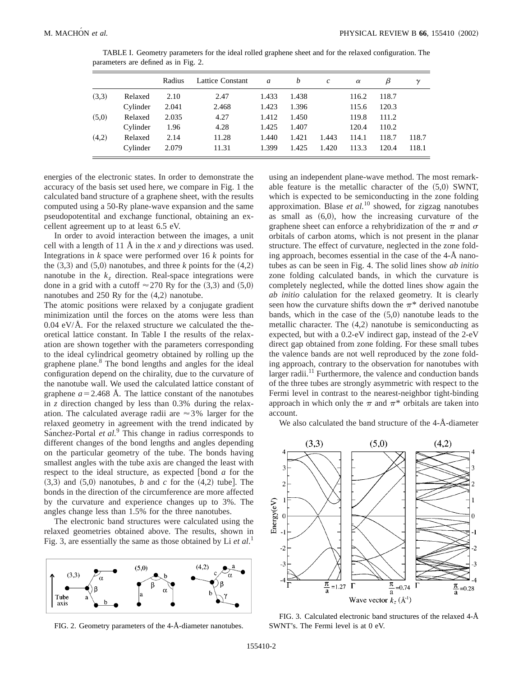|       |          | Radius | Lattice Constant | a     | b     | $\mathcal{C}$ | $\alpha$ | β     | $\gamma$ |
|-------|----------|--------|------------------|-------|-------|---------------|----------|-------|----------|
| (3,3) | Relaxed  | 2.10   | 2.47             | 1.433 | 1.438 |               | 116.2    | 118.7 |          |
|       | Cylinder | 2.041  | 2.468            | 1.423 | 1.396 |               | 115.6    | 120.3 |          |
| (5,0) | Relaxed  | 2.035  | 4.27             | 1.412 | 1.450 |               | 119.8    | 111.2 |          |
|       | Cylinder | 1.96   | 4.28             | 1.425 | 1.407 |               | 120.4    | 110.2 |          |
| (4,2) | Relaxed  | 2.14   | 11.28            | 1.440 | 1.421 | 1.443         | 114.1    | 118.7 | 118.7    |
|       | Cylinder | 2.079  | 11.31            | 1.399 | 1.425 | 1.420         | 113.3    | 120.4 | 118.1    |

TABLE I. Geometry parameters for the ideal rolled graphene sheet and for the relaxed configuration. The parameters are defined as in Fig. 2.

energies of the electronic states. In order to demonstrate the accuracy of the basis set used here, we compare in Fig. 1 the calculated band structure of a graphene sheet, with the results computed using a 50-Ry plane-wave expansion and the same pseudopotentital and exchange functional, obtaining an excellent agreement up to at least 6.5 eV.

In order to avoid interaction between the images, a unit cell with a length of 11 Å in the *x* and *y* directions was used. Integrations in *k* space were performed over 16 *k* points for the  $(3,3)$  and  $(5,0)$  nanotubes, and three *k* points for the  $(4,2)$ nanotube in the  $k_z$  direction. Real-space integrations were done in a grid with a cutoff  $\approx$  270 Ry for the (3,3) and (5,0) nanotubes and  $250$  Ry for the  $(4,2)$  nanotube.

The atomic positions were relaxed by a conjugate gradient minimization until the forces on the atoms were less than  $0.04 \text{ eV/A}$ . For the relaxed structure we calculated the theoretical lattice constant. In Table I the results of the relaxation are shown together with the parameters corresponding to the ideal cylindrical geometry obtained by rolling up the graphene plane.<sup>8</sup> The bond lengths and angles for the ideal configuration depend on the chirality, due to the curvature of the nanotube wall. We used the calculated lattice constant of graphene  $a=2.468$  Å. The lattice constant of the nanotubes in *z* direction changed by less than 0.3% during the relaxation. The calculated average radii are  $\approx$  3% larger for the relaxed geometry in agreement with the trend indicated by Sánchez-Portal *et al.*<sup>9</sup> This change in radius corresponds to different changes of the bond lengths and angles depending on the particular geometry of the tube. The bonds having smallest angles with the tube axis are changed the least with respect to the ideal structure, as expected  $[bond a for the$  $(3,3)$  and  $(5,0)$  nanotubes, *b* and *c* for the  $(4,2)$  tube]. The bonds in the direction of the circumference are more affected by the curvature and experience changes up to 3%. The angles change less than 1.5% for the three nanotubes.

The electronic band structures were calculated using the relaxed geometries obtained above. The results, shown in Fig. 3, are essentially the same as those obtained by Li *et al*. 1



FIG. 2. Geometry parameters of the 4-Å-diameter nanotubes.

using an independent plane-wave method. The most remarkable feature is the metallic character of the  $(5,0)$  SWNT, which is expected to be semiconducting in the zone folding approximation. Blase *et al.*<sup>10</sup> showed, for zigzag nanotubes as small as  $(6,0)$ , how the increasing curvature of the graphene sheet can enforce a rehybridization of the  $\pi$  and  $\sigma$ orbitals of carbon atoms, which is not present in the planar structure. The effect of curvature, neglected in the zone folding approach, becomes essential in the case of the 4-Å nanotubes as can be seen in Fig. 4. The solid lines show *ab initio* zone folding calculated bands, in which the curvature is completely neglected, while the dotted lines show again the *ab initio* calulation for the relaxed geometry. It is clearly seen how the curvature shifts down the  $\pi^*$  derived nanotube bands, which in the case of the  $(5,0)$  nanotube leads to the metallic character. The  $(4,2)$  nanotube is semiconducting as expected, but with a 0.2-eV indirect gap, instead of the 2-eV direct gap obtained from zone folding. For these small tubes the valence bands are not well reproduced by the zone folding approach, contrary to the observation for nanotubes with larger radii.<sup>11</sup> Furthermore, the valence and conduction bands of the three tubes are strongly asymmetric with respect to the Fermi level in contrast to the nearest-neighbor tight-binding approach in which only the  $\pi$  and  $\pi^*$  orbitals are taken into account.

We also calculated the band structure of the 4-Å-diameter



FIG. 3. Calculated electronic band structures of the relaxed 4-Å SWNT's. The Fermi level is at 0 eV.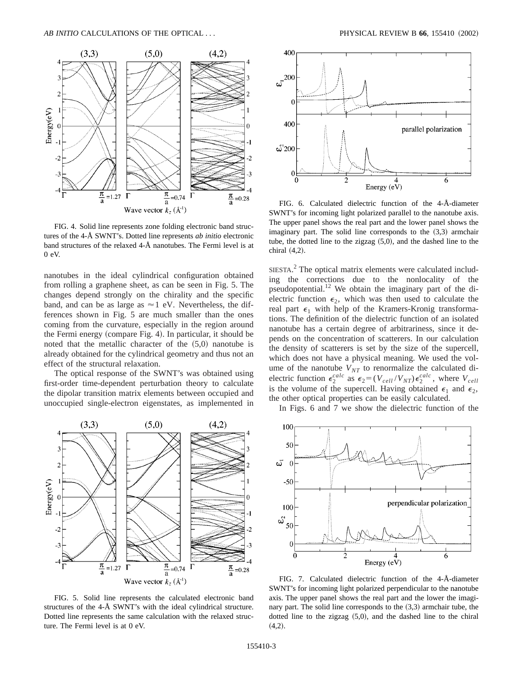

FIG. 4. Solid line represents zone folding electronic band structures of the 4-Å SWNT's. Dotted line represents *ab initio* electronic band structures of the relaxed 4-Å nanotubes. The Fermi level is at 0 eV.

nanotubes in the ideal cylindrical configuration obtained from rolling a graphene sheet, as can be seen in Fig. 5. The changes depend strongly on the chirality and the specific band, and can be as large as  $\approx$  1 eV. Nevertheless, the differences shown in Fig. 5 are much smaller than the ones coming from the curvature, especially in the region around the Fermi energy (compare Fig. 4). In particular, it should be noted that the metallic character of the  $(5,0)$  nanotube is already obtained for the cylindrical geometry and thus not an effect of the structural relaxation.

The optical response of the SWNT's was obtained using first-order time-dependent perturbation theory to calculate the dipolar transition matrix elements between occupied and unoccupied single-electron eigenstates, as implemented in



FIG. 5. Solid line represents the calculated electronic band structures of the 4-Å SWNT's with the ideal cylindrical structure. Dotted line represents the same calculation with the relaxed structure. The Fermi level is at 0 eV.



FIG. 6. Calculated dielectric function of the 4-Å-diameter SWNT's for incoming light polarized parallel to the nanotube axis. The upper panel shows the real part and the lower panel shows the imaginary part. The solid line corresponds to the  $(3,3)$  armchair tube, the dotted line to the zigzag  $(5,0)$ , and the dashed line to the chiral  $(4,2)$ .

SIESTA.<sup>2</sup> The optical matrix elements were calculated including the corrections due to the nonlocality of the pseudopotential.<sup>12</sup> We obtain the imaginary part of the dielectric function  $\epsilon_2$ , which was then used to calculate the real part  $\epsilon_1$  with help of the Kramers-Kronig transformations. The definition of the dielectric function of an isolated nanotube has a certain degree of arbitrariness, since it depends on the concentration of scatterers. In our calculation the density of scatterers is set by the size of the supercell, which does not have a physical meaning. We used the volume of the nanotube  $V_{NT}$  to renormalize the calculated dielectric function  $\epsilon_2^{calc}$  as  $\epsilon_2 = (V_{cell}/V_{NT}) \epsilon_2^{calc}$ , where  $V_{cell}$ is the volume of the supercell. Having obtained  $\epsilon_1$  and  $\epsilon_2$ , the other optical properties can be easily calculated.

In Figs. 6 and 7 we show the dielectric function of the



FIG. 7. Calculated dielectric function of the 4-Å-diameter SWNT's for incoming light polarized perpendicular to the nanotube axis. The upper panel shows the real part and the lower the imaginary part. The solid line corresponds to the  $(3,3)$  armchair tube, the dotted line to the zigzag  $(5,0)$ , and the dashed line to the chiral  $(4,2).$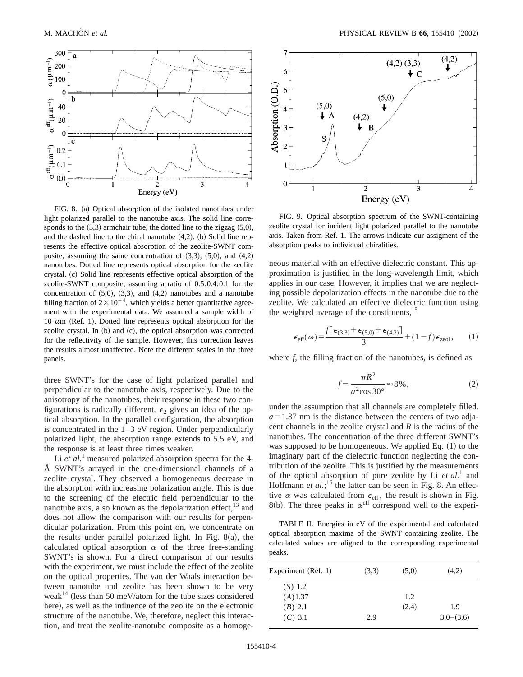

FIG. 8. (a) Optical absorption of the isolated nanotubes under light polarized parallel to the nanotube axis. The solid line corresponds to the  $(3,3)$  armchair tube, the dotted line to the zigzag  $(5,0)$ , and the dashed line to the chiral nanotube  $(4,2)$ . (b) Solid line represents the effective optical absorption of the zeolite-SWNT composite, assuming the same concentration of  $(3,3)$ ,  $(5,0)$ , and  $(4,2)$ nanotubes. Dotted line represents optical absorption for the zeolite crystal. (c) Solid line represents effective optical absorption of the zeolite-SWNT composite, assuming a ratio of 0.5:0.4:0.1 for the concentration of  $(5,0)$ ,  $(3,3)$ , and  $(4,2)$  nanotubes and a nanotube filling fraction of  $2 \times 10^{-4}$ , which yields a better quantitative agreement with the experimental data. We assumed a sample width of 10  $\mu$ m (Ref. 1). Dotted line represents optical absorption for the zeolite crystal. In  $(b)$  and  $(c)$ , the optical absorption was corrected for the reflectivity of the sample. However, this correction leaves the results almost unaffected. Note the different scales in the three panels.

three SWNT's for the case of light polarized parallel and perpendicular to the nanotube axis, respectively. Due to the anisotropy of the nanotubes, their response in these two configurations is radically different.  $\epsilon_2$  gives an idea of the optical absorption. In the parallel configuration, the absorption is concentrated in the  $1-3$  eV region. Under perpendicularly polarized light, the absorption range extends to 5.5 eV, and the response is at least three times weaker.

Li *et al.*<sup>1</sup> measured polarized absorption spectra for the 4-Å SWNT's arrayed in the one-dimensional channels of a zeolite crystal. They observed a homogeneous decrease in the absorption with increasing polarization angle. This is due to the screening of the electric field perpendicular to the nanotube axis, also known as the depolarization effect, $^{13}$  and does not allow the comparison with our results for perpendicular polarization. From this point on, we concentrate on the results under parallel polarized light. In Fig.  $8(a)$ , the calculated optical absorption  $\alpha$  of the three free-standing SWNT's is shown. For a direct comparison of our results with the experiment, we must include the effect of the zeolite on the optical properties. The van der Waals interaction between nanotube and zeolite has been shown to be very weak<sup>14</sup> (less than 50 meV/atom for the tube sizes considered here), as well as the influence of the zeolite on the electronic structure of the nanotube. We, therefore, neglect this interaction, and treat the zeolite-nanotube composite as a homoge-



FIG. 9. Optical absorption spectrum of the SWNT-containing zeolite crystal for incident light polarized parallel to the nanotube axis. Taken from Ref. 1. The arrows indicate our assigment of the absorption peaks to individual chiralities.

neous material with an effective dielectric constant. This approximation is justified in the long-wavelength limit, which applies in our case. However, it implies that we are neglecting possible depolarization effects in the nanotube due to the zeolite. We calculated an effective dielectric function using the weighted average of the constituents, $^{15}$ 

$$
\epsilon_{\text{eff}}(\omega) = \frac{f[\epsilon_{(3,3)} + \epsilon_{(5,0)} + \epsilon_{(4,2)}]}{3} + (1 - f)\epsilon_{\text{zeol}},\qquad(1)
$$

where *f*, the filling fraction of the nanotubes, is defined as

$$
f = \frac{\pi R^2}{a^2 \cos 30^\circ} \approx 8\%,\tag{2}
$$

under the assumption that all channels are completely filled.  $a=1.37$  nm is the distance between the centers of two adjacent channels in the zeolite crystal and *R* is the radius of the nanotubes. The concentration of the three different SWNT's was supposed to be homogeneous. We applied Eq.  $(1)$  to the imaginary part of the dielectric function neglecting the contribution of the zeolite. This is justified by the measurements of the optical absorption of pure zeolite by Li *et al.*<sup>1</sup> and Hoffmann *et al.*;<sup>16</sup> the latter can be seen in Fig. 8. An effective  $\alpha$  was calculated from  $\epsilon_{\text{eff}}$ , the result is shown in Fig. 8(b). The three peaks in  $\alpha^{\text{eff}}$  correspond well to the experi-

TABLE II. Energies in eV of the experimental and calculated optical absorption maxima of the SWNT containing zeolite. The calculated values are aligned to the corresponding experimental peaks.

| Experiment (Ref. 1) | (3,3) | (5,0) | (4,2)       |
|---------------------|-------|-------|-------------|
| (S) 1.2             |       |       |             |
| $(A)$ 1.37          |       | 1.2.  |             |
| (B) 2.1             |       | (2.4) | 1.9         |
| $(C)$ 3.1           | 2.9   |       | $3.0-(3.6)$ |